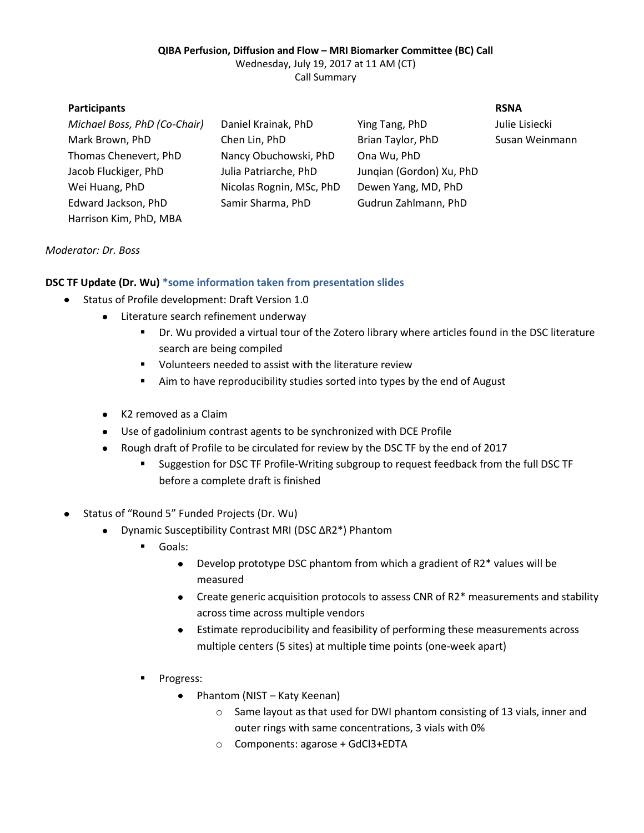# **QIBA Perfusion, Diffusion and Flow – MRI Biomarker Committee (BC) Call**

Wednesday, July 19, 2017 at 11 AM (CT)

Call Summary

| <b>Participants</b>          |                          |                          | <b>RSNA</b>    |
|------------------------------|--------------------------|--------------------------|----------------|
| Michael Boss, PhD (Co-Chair) | Daniel Krainak, PhD      | Ying Tang, PhD           | Julie Lisiecki |
| Mark Brown, PhD              | Chen Lin, PhD            | Brian Taylor, PhD        | Susan Weinmann |
| Thomas Chenevert, PhD        | Nancy Obuchowski, PhD    | Ona Wu, PhD              |                |
| Jacob Fluckiger, PhD         | Julia Patriarche, PhD    | Jungian (Gordon) Xu, PhD |                |
| Wei Huang, PhD               | Nicolas Rognin, MSc, PhD | Dewen Yang, MD, PhD      |                |
| Edward Jackson, PhD          | Samir Sharma, PhD        | Gudrun Zahlmann, PhD     |                |
| Harrison Kim, PhD, MBA       |                          |                          |                |

### *Moderator: Dr. Boss*

### **DSC TF Update (Dr. Wu) \*some information taken from presentation slides**

- Status of Profile development: Draft Version 1.0
	- Literature search refinement underway
		- Dr. Wu provided a virtual tour of the Zotero library where articles found in the DSC literature search are being compiled
		- **•** Volunteers needed to assist with the literature review
		- Aim to have reproducibility studies sorted into types by the end of August
	- K2 removed as a Claim
	- Use of gadolinium contrast agents to be synchronized with DCE Profile
	- Rough draft of Profile to be circulated for review by the DSC TF by the end of 2017
		- Suggestion for DSC TF Profile-Writing subgroup to request feedback from the full DSC TF before a complete draft is finished
- Status of "Round 5" Funded Projects (Dr. Wu)
	- $\bullet$ Dynamic Susceptibility Contrast MRI (DSC ΔR2\*) Phantom
		- Goals:
			- Develop prototype DSC phantom from which a gradient of R2\* values will be measured
			- Create generic acquisition protocols to assess CNR of R2\* measurements and stability across time across multiple vendors
			- Estimate reproducibility and feasibility of performing these measurements across multiple centers (5 sites) at multiple time points (one-week apart)
		- Progress:
			- Phantom (NIST Katy Keenan)  $\bullet$ 
				- o Same layout as that used for DWI phantom consisting of 13 vials, inner and outer rings with same concentrations, 3 vials with 0%
				- o Components: agarose + GdCl3+EDTA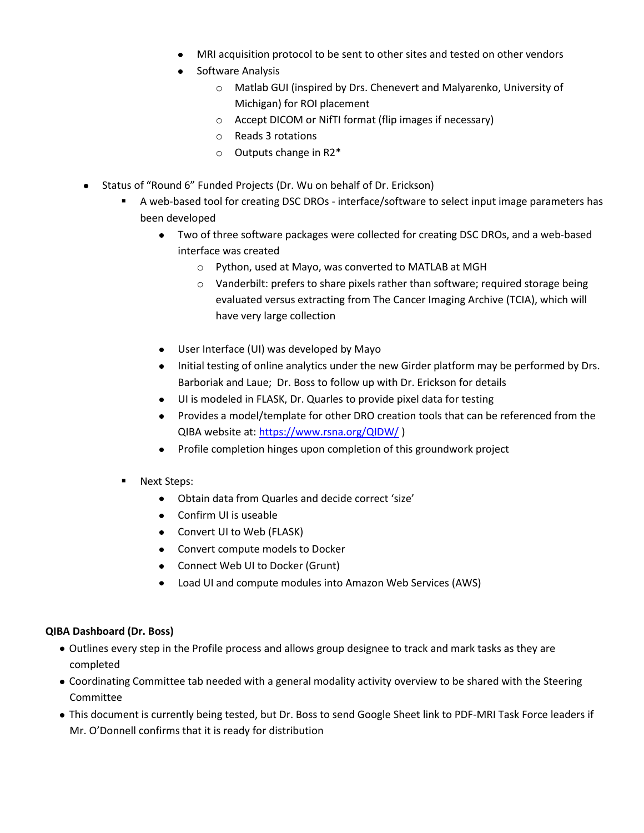- MRI acquisition protocol to be sent to other sites and tested on other vendors
- Software Analysis
	- o Matlab GUI (inspired by Drs. Chenevert and Malyarenko, University of Michigan) for ROI placement
	- o Accept DICOM or NifTI format (flip images if necessary)
	- o Reads 3 rotations
	- o Outputs change in R2\*
- Status of "Round 6" Funded Projects (Dr. Wu on behalf of Dr. Erickson)
	- A web-based tool for creating DSC DROs interface/software to select input image parameters has been developed
		- Two of three software packages were collected for creating DSC DROs, and a web-based interface was created
			- o Python, used at Mayo, was converted to MATLAB at MGH
			- o Vanderbilt: prefers to share pixels rather than software; required storage being evaluated versus extracting from The Cancer Imaging Archive (TCIA), which will have very large collection
		- User Interface (UI) was developed by Mayo
		- Initial testing of online analytics under the new Girder platform may be performed by Drs. Barboriak and Laue; Dr. Boss to follow up with Dr. Erickson for details
		- UI is modeled in FLASK, Dr. Quarles to provide pixel data for testing
		- Provides a model/template for other DRO creation tools that can be referenced from the QIBA website at:<https://www.rsna.org/QIDW/> )
		- Profile completion hinges upon completion of this groundwork project
	- Next Steps:
		- Obtain data from Quarles and decide correct 'size'
		- Confirm UI is useable
		- Convert UI to Web (FLASK)
		- Convert compute models to Docker
		- Connect Web UI to Docker (Grunt)
		- Load UI and compute modules into Amazon Web Services (AWS)

### **QIBA Dashboard (Dr. Boss)**

- Outlines every step in the Profile process and allows group designee to track and mark tasks as they are completed
- Coordinating Committee tab needed with a general modality activity overview to be shared with the Steering Committee
- This document is currently being tested, but Dr. Boss to send Google Sheet link to PDF-MRI Task Force leaders if Mr. O'Donnell confirms that it is ready for distribution